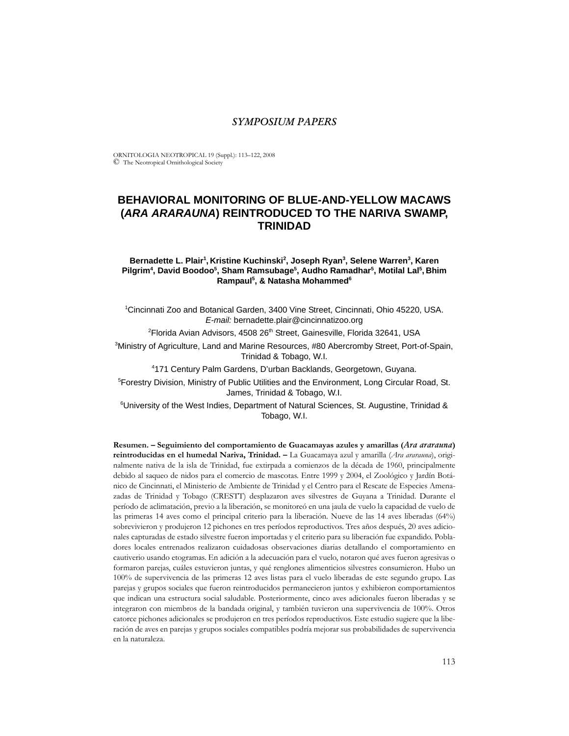# *SYMPOSIUM PAPERS*

ORNITOLOGIA NEOTROPICAL 19 (Suppl.): 113–122, 2008 © The Neotropical Ornithological Society

# **BEHAVIORAL MONITORING OF BLUE-AND-YELLOW MACAWS (***ARA ARARAUNA***) REINTRODUCED TO THE NARIVA SWAMP, TRINIDAD**

### Bernadette L. Plair<sup>1</sup>, Kristine Kuchinski<sup>2</sup>, Joseph Ryan<sup>3</sup>, Selene Warren<sup>3</sup>, Karen **Pilgrim4 , David Boodoo5 , Sham Ramsubage5 , Audho Ramadhar5 , Motilal Lal5 , Bhim**  Rampaul<sup>5</sup>, & Natasha Mohammed<sup>6</sup>

1 Cincinnati Zoo and Botanical Garden, 3400 Vine Street, Cincinnati, Ohio 45220, USA. *E-mail:* bernadette.plair@cincinnatizoo.org

<sup>2</sup>Florida Avian Advisors, 4508 26<sup>th</sup> Street, Gainesville, Florida 32641, USA

3 Ministry of Agriculture, Land and Marine Resources, #80 Abercromby Street, Port-of-Spain, Trinidad & Tobago, W.I.

4 171 Century Palm Gardens, D'urban Backlands, Georgetown, Guyana.

5 Forestry Division, Ministry of Public Utilities and the Environment, Long Circular Road, St. James, Trinidad & Tobago, W.I.

<sup>6</sup>University of the West Indies, Department of Natural Sciences, St. Augustine, Trinidad & Tobago, W.I.

**Resumen. – Seguimiento del comportamiento de Guacamayas azules y amarillas (***Ara ararauna***) reintroducidas en el humedal Nariva, Trinidad. –** La Guacamaya azul y amarilla (*Ara ararauna*), originalmente nativa de la isla de Trinidad, fue extirpada a comienzos de la década de 1960, principalmente debido al saqueo de nidos para el comercio de mascotas. Entre 1999 y 2004, el Zoológico y Jardín Botánico de Cincinnati, el Ministerio de Ambiente de Trinidad y el Centro para el Rescate de Especies Amenazadas de Trinidad y Tobago (CRESTT) desplazaron aves silvestres de Guyana a Trinidad. Durante el período de aclimatación, previo a la liberación, se monitoreó en una jaula de vuelo la capacidad de vuelo de las primeras 14 aves como el principal criterio para la liberación. Nueve de las 14 aves liberadas (64%) sobrevivieron y produjeron 12 pichones en tres períodos reproductivos. Tres años después, 20 aves adicionales capturadas de estado silvestre fueron importadas y el criterio para su liberación fue expandido. Pobladores locales entrenados realizaron cuidadosas observaciones diarias detallando el comportamiento en cautiverio usando etogramas. En adición a la adecuación para el vuelo, notaron qué aves fueron agresivas o formaron parejas, cuáles estuvieron juntas, y qué renglones alimenticios silvestres consumieron. Hubo un 100% de supervivencia de las primeras 12 aves listas para el vuelo liberadas de este segundo grupo. Las parejas y grupos sociales que fueron reintroducidos permanecieron juntos y exhibieron comportamientos que indican una estructura social saludable. Posteriormente, cinco aves adicionales fueron liberadas y se integraron con miembros de la bandada original, y también tuvieron una supervivencia de 100%. Otros catorce pichones adicionales se produjeron en tres períodos reproductivos. Este estudio sugiere que la liberación de aves en parejas y grupos sociales compatibles podría mejorar sus probabilidades de supervivencia en la naturaleza.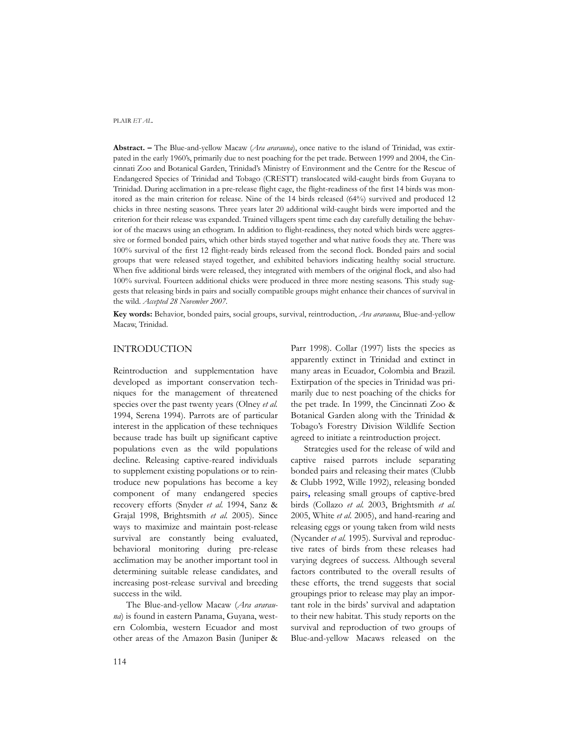**Abstract. –** The Blue-and-yellow Macaw (*Ara ararauna*), once native to the island of Trinidad, was extirpated in the early 1960's, primarily due to nest poaching for the pet trade. Between 1999 and 2004, the Cincinnati Zoo and Botanical Garden, Trinidad's Ministry of Environment and the Centre for the Rescue of Endangered Species of Trinidad and Tobago (CRESTT) translocated wild-caught birds from Guyana to Trinidad. During acclimation in a pre-release flight cage, the flight-readiness of the first 14 birds was monitored as the main criterion for release. Nine of the 14 birds released (64%) survived and produced 12 chicks in three nesting seasons. Three years later 20 additional wild-caught birds were imported and the criterion for their release was expanded. Trained villagers spent time each day carefully detailing the behavior of the macaws using an ethogram. In addition to flight-readiness, they noted which birds were aggressive or formed bonded pairs, which other birds stayed together and what native foods they ate. There was 100% survival of the first 12 flight-ready birds released from the second flock. Bonded pairs and social groups that were released stayed together, and exhibited behaviors indicating healthy social structure. When five additional birds were released, they integrated with members of the original flock, and also had 100% survival. Fourteen additional chicks were produced in three more nesting seasons. This study suggests that releasing birds in pairs and socially compatible groups might enhance their chances of survival in the wild. *Accepted 28 November 2007.*

**Key words:** Behavior, bonded pairs, social groups, survival, reintroduction, *Ara ararauna*, Blue-and-yellow Macaw, Trinidad.

# INTRODUCTION

Reintroduction and supplementation have developed as important conservation techniques for the management of threatened species over the past twenty years (Olney *et al.* 1994, Serena 1994). Parrots are of particular interest in the application of these techniques because trade has built up significant captive populations even as the wild populations decline. Releasing captive-reared individuals to supplement existing populations or to reintroduce new populations has become a key component of many endangered species recovery efforts (Snyder *et al.* 1994, Sanz & Grajal 1998, Brightsmith *et al.* 2005). Since ways to maximize and maintain post-release survival are constantly being evaluated, behavioral monitoring during pre-release acclimation may be another important tool in determining suitable release candidates, and increasing post-release survival and breeding success in the wild.

The Blue-and-yellow Macaw (*Ara ararauna*) is found in eastern Panama, Guyana, western Colombia, western Ecuador and most other areas of the Amazon Basin (Juniper &

Parr 1998). Collar (1997) lists the species as apparently extinct in Trinidad and extinct in many areas in Ecuador, Colombia and Brazil. Extirpation of the species in Trinidad was primarily due to nest poaching of the chicks for the pet trade. In 1999, the Cincinnati Zoo & Botanical Garden along with the Trinidad & Tobago's Forestry Division Wildlife Section agreed to initiate a reintroduction project.

Strategies used for the release of wild and captive raised parrots include separating bonded pairs and releasing their mates (Clubb & Clubb 1992, Wille 1992), releasing bonded pairs**,** releasing small groups of captive-bred birds (Collazo *et al.* 2003, Brightsmith *et al.* 2005, White *et al.* 2005), and hand-rearing and releasing eggs or young taken from wild nests (Nycander *et al.* 1995). Survival and reproductive rates of birds from these releases had varying degrees of success. Although several factors contributed to the overall results of these efforts, the trend suggests that social groupings prior to release may play an important role in the birds' survival and adaptation to their new habitat. This study reports on the survival and reproduction of two groups of Blue-and-yellow Macaws released on the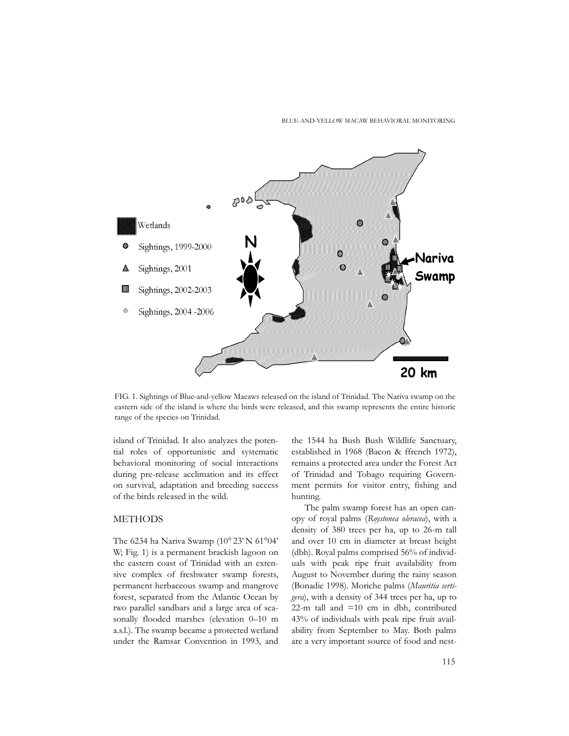#### BLUE-AND-YELLOW MACAW BEHAVIORAL MONITORING



FIG. 1. Sightings of Blue-and-yellow Macaws released on the island of Trinidad. The Nariva swamp on the eastern side of the island is where the birds were released, and this swamp represents the entire historic range of the species on Trinidad.

island of Trinidad. It also analyzes the potential roles of opportunistic and systematic behavioral monitoring of social interactions during pre-release acclimation and its effect on survival, adaptation and breeding success of the birds released in the wild.

# METHODS

The 6234 ha Nariva Swamp (10° 23' N 61°04' W; Fig. 1) is a permanent brackish lagoon on the eastern coast of Trinidad with an extensive complex of freshwater swamp forests, permanent herbaceous swamp and mangrove forest, separated from the Atlantic Ocean by two parallel sandbars and a large area of seasonally flooded marshes (elevation 0–10 m a.s.l.). The swamp became a protected wetland under the Ramsar Convention in 1993, and

the 1544 ha Bush Bush Wildlife Sanctuary, established in 1968 (Bacon & ffrench 1972), remains a protected area under the Forest Act of Trinidad and Tobago requiring Government permits for visitor entry, fishing and hunting.

The palm swamp forest has an open canopy of royal palms (*Roystonea oleracea*), with a density of 380 trees per ha, up to 26-m tall and over 10 cm in diameter at breast height (dbh). Royal palms comprised 56% of individuals with peak ripe fruit availability from August to November during the rainy season (Bonadie 1998). Moriche palms (*Mauritia sertigera*), with a density of 344 trees per ha, up to 22-m tall and  $=10$  cm in dbh, contributed 43% of individuals with peak ripe fruit availability from September to May. Both palms are a very important source of food and nest-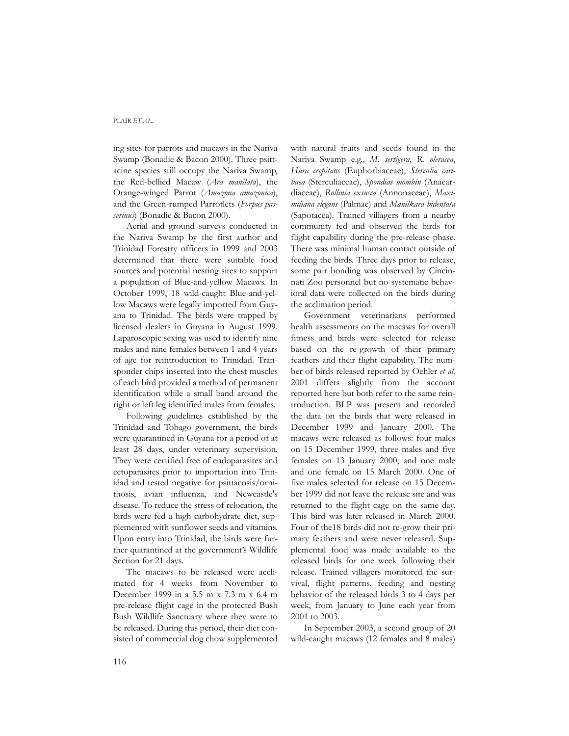ing sites for parrots and macaws in the Nariva Swamp (Bonadie & Bacon 2000). Three psittacine species still occupy the Nariva Swamp, the Red-bellied Macaw (*Ara manilata*), the Orange-winged Parrot (*Amazona amazonica*), and the Green-rumped Parrotlets (*Forpus passerinus*) (Bonadie & Bacon 2000).

Aerial and ground surveys conducted in the Nariva Swamp by the first author and Trinidad Forestry officers in 1999 and 2003 determined that there were suitable food sources and potential nesting sites to support a population of Blue-and-yellow Macaws. In October 1999, 18 wild-caught Blue-and-yellow Macaws were legally imported from Guyana to Trinidad. The birds were trapped by licensed dealers in Guyana in August 1999. Laparoscopic sexing was used to identify nine males and nine females between 1 and 4 years of age for reintroduction to Trinidad. Transponder chips inserted into the chest muscles of each bird provided a method of permanent identification while a small band around the right or left leg identified males from females.

Following guidelines established by the Trinidad and Tobago government, the birds were quarantined in Guyana for a period of at least 28 days, under veterinary supervision. They were certified free of endoparasites and ectoparasites prior to importation into Trinidad and tested negative for psittacosis/ornithosis, avian influenza, and Newcastle's disease. To reduce the stress of relocation, the birds were fed a high carbohydrate diet, supplemented with sunflower seeds and vitamins. Upon entry into Trinidad, the birds were further quarantined at the government's Wildlife Section for 21 days.

The macaws to be released were acclimated for 4 weeks from November to December 1999 in a 5.5 m x 7.3 m x 6.4 m pre-release flight cage in the protected Bush Bush Wildlife Sanctuary where they were to be released. During this period, their diet consisted of commercial dog chow supplemented with natural fruits and seeds found in the Nariva Swamp e.g., *M. sertigera*, *R. oleracea*, *Hura crepitans* (Euphorbiaceae), *Sterculia caribaea* (Sterculiaceae), *Spondias mombin* (Anacardiaceae), *Rollinia exsucca* (Annonaceae), *Maximiliana elegans* (Palmae) and *Manilkara bidentata* (Sapotacea)*.* Trained villagers from a nearby community fed and observed the birds for flight capability during the pre-release phase. There was minimal human contact outside of feeding the birds. Three days prior to release, some pair bonding was observed by Cincinnati Zoo personnel but no systematic behavioral data were collected on the birds during the acclimation period.

Government veterinarians performed health assessments on the macaws for overall fitness and birds were selected for release based on the re-growth of their primary feathers and their flight capability. The number of birds released reported by Oehler *et al.* 2001 differs slightly from the account reported here but both refer to the same reintroduction. BLP was present and recorded the data on the birds that were released in December 1999 and January 2000. The macaws were released as follows: four males on 15 December 1999, three males and five females on 13 January 2000, and one male and one female on 15 March 2000. One of five males selected for release on 15 December 1999 did not leave the release site and was returned to the flight cage on the same day. This bird was later released in March 2000. Four of the18 birds did not re-grow their primary feathers and were never released. Supplemental food was made available to the released birds for one week following their release. Trained villagers monitored the survival, flight patterns, feeding and nesting behavior of the released birds 3 to 4 days per week, from January to June each year from 2001 to 2003.

In September 2003, a second group of 20 wild-caught macaws (12 females and 8 males)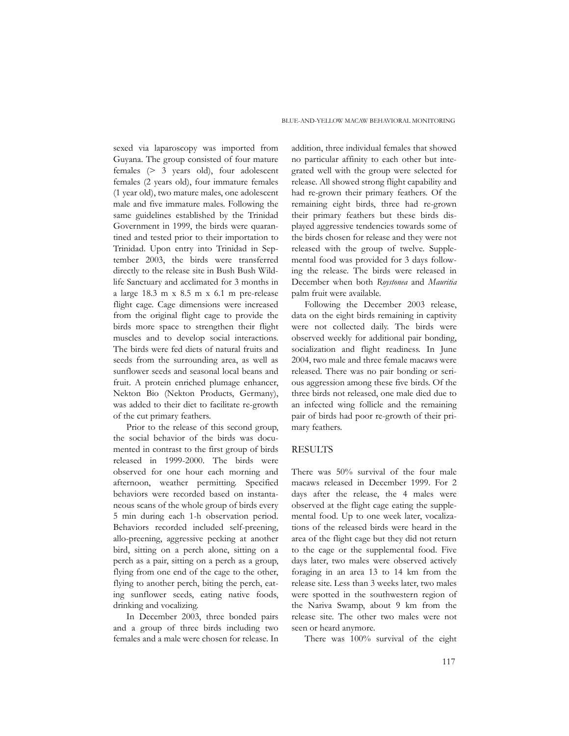sexed via laparoscopy was imported from Guyana. The group consisted of four mature females (> 3 years old), four adolescent females (2 years old), four immature females (1 year old), two mature males, one adolescent male and five immature males. Following the same guidelines established by the Trinidad Government in 1999, the birds were quarantined and tested prior to their importation to Trinidad. Upon entry into Trinidad in September 2003, the birds were transferred directly to the release site in Bush Bush Wildlife Sanctuary and acclimated for 3 months in a large 18.3 m x 8.5 m x 6.1 m pre-release flight cage. Cage dimensions were increased from the original flight cage to provide the birds more space to strengthen their flight muscles and to develop social interactions. The birds were fed diets of natural fruits and seeds from the surrounding area, as well as sunflower seeds and seasonal local beans and fruit. A protein enriched plumage enhancer, Nekton Bio (Nekton Products, Germany), was added to their diet to facilitate re-growth of the cut primary feathers.

Prior to the release of this second group, the social behavior of the birds was documented in contrast to the first group of birds released in 1999-2000. The birds were observed for one hour each morning and afternoon, weather permitting. Specified behaviors were recorded based on instantaneous scans of the whole group of birds every 5 min during each 1-h observation period. Behaviors recorded included self-preening, allo-preening, aggressive pecking at another bird, sitting on a perch alone, sitting on a perch as a pair, sitting on a perch as a group, flying from one end of the cage to the other, flying to another perch, biting the perch, eating sunflower seeds, eating native foods, drinking and vocalizing.

In December 2003, three bonded pairs and a group of three birds including two females and a male were chosen for release. In

addition, three individual females that showed no particular affinity to each other but integrated well with the group were selected for release. All showed strong flight capability and had re-grown their primary feathers. Of the remaining eight birds, three had re-grown their primary feathers but these birds displayed aggressive tendencies towards some of the birds chosen for release and they were not released with the group of twelve. Supplemental food was provided for 3 days following the release. The birds were released in December when both *Roystonea* and *Mauritia* palm fruit were available.

Following the December 2003 release, data on the eight birds remaining in captivity were not collected daily. The birds were observed weekly for additional pair bonding, socialization and flight readiness. In June 2004, two male and three female macaws were released. There was no pair bonding or serious aggression among these five birds. Of the three birds not released, one male died due to an infected wing follicle and the remaining pair of birds had poor re-growth of their primary feathers.

### RESULTS

There was 50% survival of the four male macaws released in December 1999. For 2 days after the release, the 4 males were observed at the flight cage eating the supplemental food. Up to one week later, vocalizations of the released birds were heard in the area of the flight cage but they did not return to the cage or the supplemental food. Five days later, two males were observed actively foraging in an area 13 to 14 km from the release site. Less than 3 weeks later, two males were spotted in the southwestern region of the Nariva Swamp, about 9 km from the release site. The other two males were not seen or heard anymore.

There was 100% survival of the eight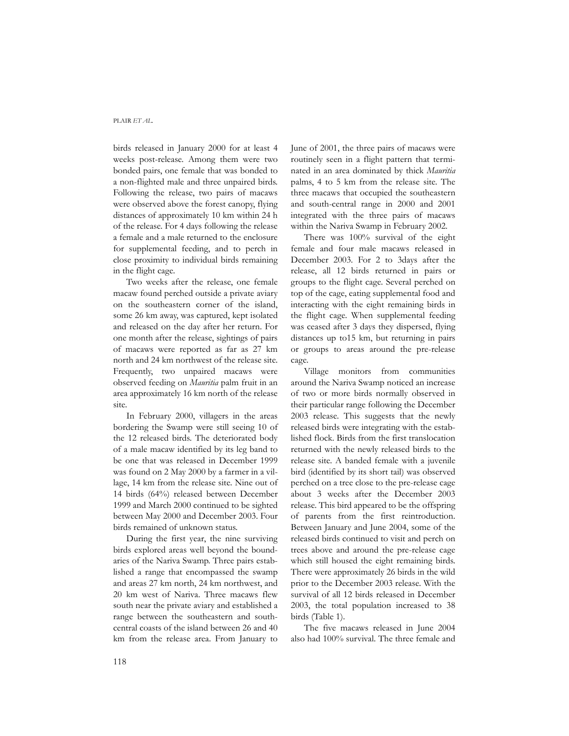birds released in January 2000 for at least 4 weeks post-release. Among them were two bonded pairs, one female that was bonded to a non-flighted male and three unpaired birds. Following the release, two pairs of macaws were observed above the forest canopy, flying distances of approximately 10 km within 24 h of the release. For 4 days following the release a female and a male returned to the enclosure for supplemental feeding, and to perch in close proximity to individual birds remaining in the flight cage.

Two weeks after the release, one female macaw found perched outside a private aviary on the southeastern corner of the island, some 26 km away, was captured, kept isolated and released on the day after her return. For one month after the release, sightings of pairs of macaws were reported as far as 27 km north and 24 km northwest of the release site. Frequently, two unpaired macaws were observed feeding on *Mauritia* palm fruit in an area approximately 16 km north of the release site.

In February 2000, villagers in the areas bordering the Swamp were still seeing 10 of the 12 released birds. The deteriorated body of a male macaw identified by its leg band to be one that was released in December 1999 was found on 2 May 2000 by a farmer in a village, 14 km from the release site. Nine out of 14 birds (64%) released between December 1999 and March 2000 continued to be sighted between May 2000 and December 2003. Four birds remained of unknown status.

During the first year, the nine surviving birds explored areas well beyond the boundaries of the Nariva Swamp. Three pairs established a range that encompassed the swamp and areas 27 km north, 24 km northwest, and 20 km west of Nariva. Three macaws flew south near the private aviary and established a range between the southeastern and southcentral coasts of the island between 26 and 40 km from the release area. From January to June of 2001, the three pairs of macaws were routinely seen in a flight pattern that terminated in an area dominated by thick *Mauritia* palms, 4 to 5 km from the release site. The three macaws that occupied the southeastern and south-central range in 2000 and 2001 integrated with the three pairs of macaws within the Nariva Swamp in February 2002.

There was 100% survival of the eight female and four male macaws released in December 2003. For 2 to 3days after the release, all 12 birds returned in pairs or groups to the flight cage. Several perched on top of the cage, eating supplemental food and interacting with the eight remaining birds in the flight cage. When supplemental feeding was ceased after 3 days they dispersed, flying distances up to15 km, but returning in pairs or groups to areas around the pre-release cage.

Village monitors from communities around the Nariva Swamp noticed an increase of two or more birds normally observed in their particular range following the December 2003 release. This suggests that the newly released birds were integrating with the established flock. Birds from the first translocation returned with the newly released birds to the release site. A banded female with a juvenile bird (identified by its short tail) was observed perched on a tree close to the pre-release cage about 3 weeks after the December 2003 release. This bird appeared to be the offspring of parents from the first reintroduction. Between January and June 2004, some of the released birds continued to visit and perch on trees above and around the pre-release cage which still housed the eight remaining birds. There were approximately 26 birds in the wild prior to the December 2003 release. With the survival of all 12 birds released in December 2003, the total population increased to 38 birds (Table 1).

The five macaws released in June 2004 also had 100% survival. The three female and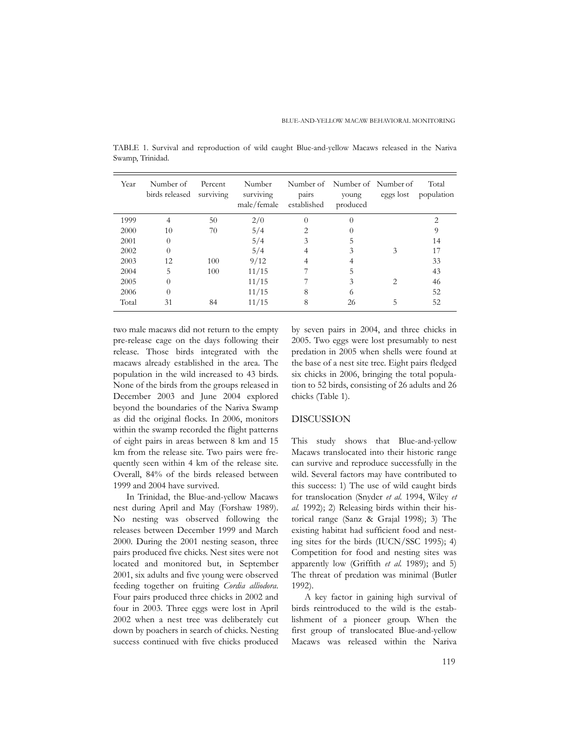| Year  | Number of<br>birds released | Percent<br>surviving | Number<br>surviving<br>male/female | pairs<br>established | Number of Number of Number of<br>young<br>produced | eggs lost | Total<br>population |
|-------|-----------------------------|----------------------|------------------------------------|----------------------|----------------------------------------------------|-----------|---------------------|
| 1999  |                             | 50                   | 2/0                                | 0                    | $\Omega$                                           |           | 2                   |
| 2000  | 10                          | 70                   | 5/4                                |                      |                                                    |           | 9                   |
| 2001  | $\Omega$                    |                      | 5/4                                | 3                    |                                                    |           | 14                  |
| 2002  | $\Omega$                    |                      | 5/4                                |                      | 3                                                  | 3         | 17                  |
| 2003  | 12                          | 100                  | 9/12                               |                      |                                                    |           | 33                  |
| 2004  | 5                           | 100                  | 11/15                              |                      |                                                    |           | 43                  |
| 2005  | $\Omega$                    |                      | 11/15                              |                      | 3                                                  |           | 46                  |
| 2006  | $\Omega$                    |                      | 11/15                              | 8                    | 6                                                  |           | 52                  |
| Total | 31                          | 84                   | 11/15                              | 8                    | 26                                                 | 5         | 52                  |

TABLE 1. Survival and reproduction of wild caught Blue-and-yellow Macaws released in the Nariva Swamp, Trinidad.

two male macaws did not return to the empty pre-release cage on the days following their release. Those birds integrated with the macaws already established in the area. The population in the wild increased to 43 birds. None of the birds from the groups released in December 2003 and June 2004 explored beyond the boundaries of the Nariva Swamp as did the original flocks. In 2006, monitors within the swamp recorded the flight patterns of eight pairs in areas between 8 km and 15 km from the release site. Two pairs were frequently seen within 4 km of the release site. Overall, 84% of the birds released between 1999 and 2004 have survived.

In Trinidad, the Blue-and-yellow Macaws nest during April and May (Forshaw 1989). No nesting was observed following the releases between December 1999 and March 2000. During the 2001 nesting season, three pairs produced five chicks. Nest sites were not located and monitored but, in September 2001, six adults and five young were observed feeding together on fruiting *Cordia alliodora*. Four pairs produced three chicks in 2002 and four in 2003. Three eggs were lost in April 2002 when a nest tree was deliberately cut down by poachers in search of chicks. Nesting success continued with five chicks produced by seven pairs in 2004, and three chicks in 2005. Two eggs were lost presumably to nest predation in 2005 when shells were found at the base of a nest site tree. Eight pairs fledged six chicks in 2006, bringing the total population to 52 birds, consisting of 26 adults and 26 chicks (Table 1).

### DISCUSSION

This study shows that Blue-and-yellow Macaws translocated into their historic range can survive and reproduce successfully in the wild. Several factors may have contributed to this success: 1) The use of wild caught birds for translocation (Snyder *et al.* 1994, Wiley *et al.* 1992); 2) Releasing birds within their historical range (Sanz & Grajal 1998); 3) The existing habitat had sufficient food and nesting sites for the birds (IUCN/SSC 1995); 4) Competition for food and nesting sites was apparently low (Griffith *et al.* 1989); and 5) The threat of predation was minimal (Butler 1992).

A key factor in gaining high survival of birds reintroduced to the wild is the establishment of a pioneer group. When the first group of translocated Blue-and-yellow Macaws was released within the Nariva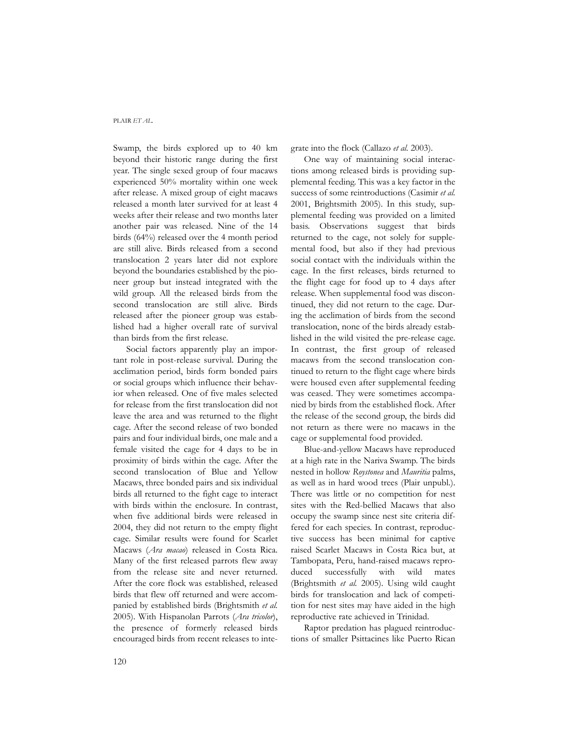Swamp, the birds explored up to 40 km beyond their historic range during the first year. The single sexed group of four macaws experienced 50% mortality within one week after release. A mixed group of eight macaws released a month later survived for at least 4 weeks after their release and two months later another pair was released. Nine of the 14 birds (64%) released over the 4 month period are still alive. Birds released from a second translocation 2 years later did not explore beyond the boundaries established by the pioneer group but instead integrated with the wild group. All the released birds from the second translocation are still alive. Birds released after the pioneer group was established had a higher overall rate of survival than birds from the first release.

Social factors apparently play an important role in post-release survival. During the acclimation period, birds form bonded pairs or social groups which influence their behavior when released. One of five males selected for release from the first translocation did not leave the area and was returned to the flight cage. After the second release of two bonded pairs and four individual birds, one male and a female visited the cage for 4 days to be in proximity of birds within the cage. After the second translocation of Blue and Yellow Macaws, three bonded pairs and six individual birds all returned to the fight cage to interact with birds within the enclosure. In contrast, when five additional birds were released in 2004, they did not return to the empty flight cage. Similar results were found for Scarlet Macaws (*Ara macao*) released in Costa Rica. Many of the first released parrots flew away from the release site and never returned. After the core flock was established, released birds that flew off returned and were accompanied by established birds (Brightsmith *et al.* 2005). With Hispanolan Parrots (*Ara tricolor*), the presence of formerly released birds encouraged birds from recent releases to integrate into the flock (Callazo *et al.* 2003).

One way of maintaining social interactions among released birds is providing supplemental feeding. This was a key factor in the success of some reintroductions (Casimir *et al.* 2001, Brightsmith 2005). In this study, supplemental feeding was provided on a limited basis. Observations suggest that birds returned to the cage, not solely for supplemental food, but also if they had previous social contact with the individuals within the cage. In the first releases, birds returned to the flight cage for food up to 4 days after release. When supplemental food was discontinued, they did not return to the cage. During the acclimation of birds from the second translocation, none of the birds already established in the wild visited the pre-release cage. In contrast, the first group of released macaws from the second translocation continued to return to the flight cage where birds were housed even after supplemental feeding was ceased. They were sometimes accompanied by birds from the established flock. After the release of the second group, the birds did not return as there were no macaws in the cage or supplemental food provided.

Blue-and-yellow Macaws have reproduced at a high rate in the Nariva Swamp. The birds nested in hollow *Roystonea* and *Mauritia* palms, as well as in hard wood trees (Plair unpubl.). There was little or no competition for nest sites with the Red-bellied Macaws that also occupy the swamp since nest site criteria differed for each species. In contrast, reproductive success has been minimal for captive raised Scarlet Macaws in Costa Rica but, at Tambopata, Peru, hand-raised macaws reproduced successfully with wild mates (Brightsmith *et al.* 2005). Using wild caught birds for translocation and lack of competition for nest sites may have aided in the high reproductive rate achieved in Trinidad.

Raptor predation has plagued reintroductions of smaller Psittacines like Puerto Rican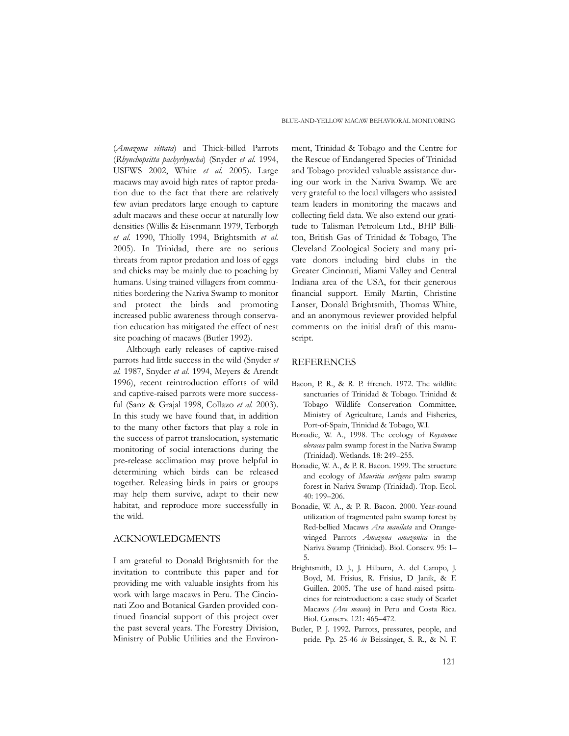(*Amazona vittata*) and Thick-billed Parrots (*Rhynchopsitta pachyrhyncha*) (Snyder *et al.* 1994, USFWS 2002, White *et al.* 2005). Large macaws may avoid high rates of raptor predation due to the fact that there are relatively few avian predators large enough to capture adult macaws and these occur at naturally low densities (Willis & Eisenmann 1979, Terborgh *et al.* 1990, Thiolly 1994, Brightsmith *et al.* 2005). In Trinidad, there are no serious threats from raptor predation and loss of eggs and chicks may be mainly due to poaching by humans. Using trained villagers from communities bordering the Nariva Swamp to monitor and protect the birds and promoting increased public awareness through conservation education has mitigated the effect of nest site poaching of macaws (Butler 1992).

Although early releases of captive-raised parrots had little success in the wild (Snyder *et al.* 1987, Snyder *et al.* 1994, Meyers & Arendt 1996), recent reintroduction efforts of wild and captive-raised parrots were more successful (Sanz & Grajal 1998, Collazo *et al.* 2003). In this study we have found that, in addition to the many other factors that play a role in the success of parrot translocation, systematic monitoring of social interactions during the pre-release acclimation may prove helpful in determining which birds can be released together. Releasing birds in pairs or groups may help them survive, adapt to their new habitat, and reproduce more successfully in the wild.

### ACKNOWLEDGMENTS

I am grateful to Donald Brightsmith for the invitation to contribute this paper and for providing me with valuable insights from his work with large macaws in Peru. The Cincinnati Zoo and Botanical Garden provided continued financial support of this project over the past several years. The Forestry Division, Ministry of Public Utilities and the Environ-

ment, Trinidad & Tobago and the Centre for the Rescue of Endangered Species of Trinidad and Tobago provided valuable assistance during our work in the Nariva Swamp. We are very grateful to the local villagers who assisted team leaders in monitoring the macaws and collecting field data. We also extend our gratitude to Talisman Petroleum Ltd., BHP Billiton, British Gas of Trinidad & Tobago, The Cleveland Zoological Society and many private donors including bird clubs in the Greater Cincinnati, Miami Valley and Central Indiana area of the USA, for their generous financial support. Emily Martin, Christine Lanser, Donald Brightsmith, Thomas White, and an anonymous reviewer provided helpful comments on the initial draft of this manuscript.

### REFERENCES

- Bacon, P. R., & R. P. ffrench. 1972. The wildlife sanctuaries of Trinidad & Tobago. Trinidad & Tobago Wildlife Conservation Committee, Ministry of Agriculture, Lands and Fisheries, Port-of-Spain, Trinidad & Tobago, W.I.
- Bonadie, W. A., 1998. The ecology of *Roystonea oleracea* palm swamp forest in the Nariva Swamp (Trinidad). Wetlands. 18: 249–255.
- Bonadie, W. A., & P. R. Bacon. 1999. The structure and ecology of *Mauritia sertigera* palm swamp forest in Nariva Swamp (Trinidad). Trop. Ecol. 40: 199–206.
- Bonadie, W. A., & P. R. Bacon. 2000. Year-round utilization of fragmented palm swamp forest by Red-bellied Macaws *Ara manilata* and Orangewinged Parrots *Amazona amazonica* in the Nariva Swamp (Trinidad). Biol. Conserv. 95: 1– 5.
- Brightsmith, D. J., J. Hilburn, A. del Campo, J. Boyd, M. Frisius, R. Frisius, D Janik, & F. Guillen. 2005. The use of hand-raised psittacines for reintroduction: a case study of Scarlet Macaws *(Ara macao*) in Peru and Costa Rica. Biol. Conserv. 121: 465–472.
- Butler, P. J. 1992. Parrots, pressures, people, and pride. Pp. 25-46 *in* Beissinger, S. R., & N. F.